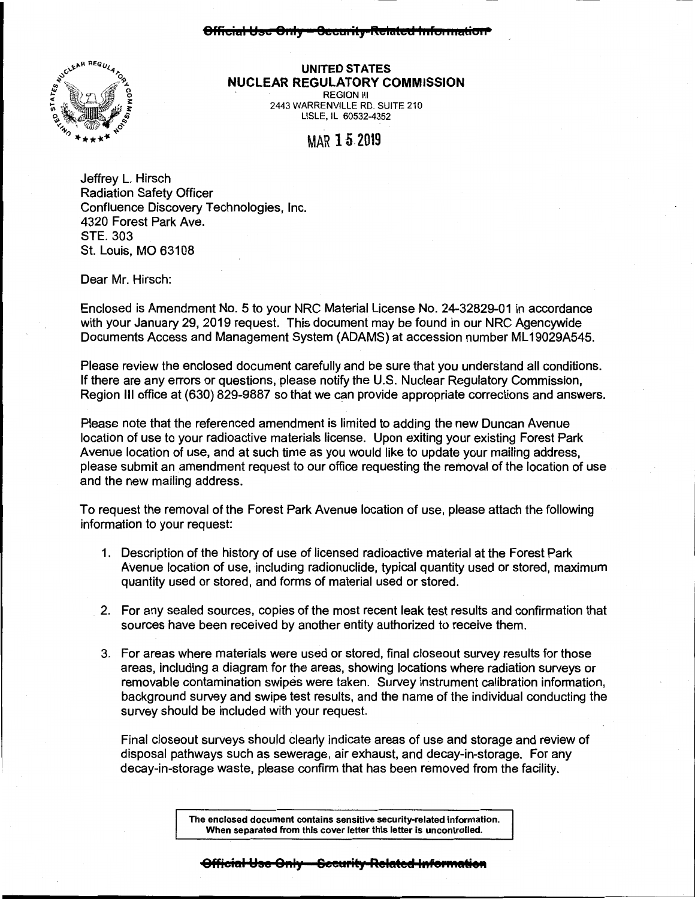## **8fficial ~so 81.ly 8ecaa ity Related hafoa 111alio11**



## **UNITED STATES NUCLEAR REGULATORY COMMISSION**  REGION Ill

2443 WARRENVILLE RD. SUITE 210 LISLE, IL 60532-4352

## MAR 15 2019

Jeffrey L. Hirsch Radiation Safety Officer Confluence Discovery Technologies, Inc. 4320 Forest Park Ave. STE. 303 St. Louis, MO 63108

Dear Mr. Hirsch:

Enclosed is Amendment No. 5 to your NRC Material License No. 24-32829-01 in accordance with your January 29, 2019 request. This document may be found in our NRC Agencywide Documents Access and Management System (ADAMS) at accession number ML 19029A545.

Please review the enclosed document carefully and be sure that you understand all conditions. If there are any errors or questions, please notify the U.S. Nuclear Regulatory Commission, Region Ill office at (630) 829-9887 so that we can provide appropriate corrections and answers.

Please note that the referenced amendment is limited to adding the new Duncan Avenue location of use to your radioactive materials license. Upon exiting your existing Forest Park Avenue location of use, and at such time as you would like to update your mailing address, please submit an amendment request to our office requesting the removal of the location of use and the new mailing address.

To request the removal of the Forest Park Avenue location of use, please attach the following information to your request:

- 1. Description of the history of use of licensed radioactive material at the Forest Park Avenue location of use, including radionuclide, typical quantity used or stored, maximum quantity used or stored, and forms of material used or stored.
- 2. For any sealed sources, copies of the most recent leak test results and confirmation that sources have been received by another entity authorized to receive them.
- 3. For areas where materials were used or stored, final closeout survey results for those areas, including a diagram for the areas, showing locations where radiation surveys or removable contamination swipes were taken. Survey instrument calibration information, background survey and swipe test results, and the name of the individual conducting the survey should be included with your request.

Final closeout surveys should clearly indicate areas of use and storage and review of disposal pathways such as sewerage, air exhaust, and decay-in-storage. For any decay-in-storage waste, please confirm that has been removed from the facility.

> **The enclosed document contains sensitive security-related information. When separated from this cover letter this letter is uncontrolled.**